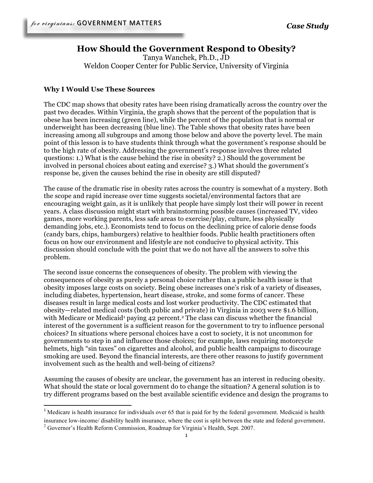# **How Should the Government Respond to Obesity?**

Tanya Wanchek, Ph.D., JD Weldon Cooper Center for Public Service, University of Virginia

### **Why I Would Use These Sources**

The CDC map shows that obesity rates have been rising dramatically across the country over the past two decades. Within Virginia, the graph shows that the percent of the population that is obese has been increasing (green line), while the percent of the population that is normal or underweight has been decreasing (blue line). The Table shows that obesity rates have been increasing among all subgroups and among those below and above the poverty level. The main point of this lesson is to have students think through what the government's response should be to the high rate of obesity. Addressing the government's response involves three related questions: 1.) What is the cause behind the rise in obesity? 2.) Should the government be involved in personal choices about eating and exercise? 3.) What should the government's response be, given the causes behind the rise in obesity are still disputed?

The cause of the dramatic rise in obesity rates across the country is somewhat of a mystery. Both the scope and rapid increase over time suggests societal/environmental factors that are encouraging weight gain, as it is unlikely that people have simply lost their will power in recent years. A class discussion might start with brainstorming possible causes (increased TV, video games, more working parents, less safe areas to exercise/play, culture, less physically demanding jobs, etc.). Economists tend to focus on the declining price of calorie dense foods (candy bars, chips, hamburgers) relative to healthier foods. Public health practitioners often focus on how our environment and lifestyle are not conducive to physical activity. This discussion should conclude with the point that we do not have all the answers to solve this problem.

The second issue concerns the consequences of obesity. The problem with viewing the consequences of obesity as purely a personal choice rather than a public health issue is that obesity imposes large costs on society. Being obese increases one's risk of a variety of diseases, including diabetes, hypertension, heart disease, stroke, and some forms of cancer. These diseases result in large medical costs and lost worker productivity. The CDC estimated that obesity—related medical costs (both public and private) in Virginia in 2003 were \$1.6 billion, with Medicare or Medicaid<sup>1</sup> paying 42 percent.<sup>2</sup> The class can discuss whether the financial interest of the government is a sufficient reason for the government to try to influence personal choices? In situations where personal choices have a cost to society, it is not uncommon for governments to step in and influence those choices; for example, laws requiring motorcycle helmets, high "sin taxes" on cigarettes and alcohol, and public health campaigns to discourage smoking are used. Beyond the financial interests, are there other reasons to justify government involvement such as the health and well-being of citizens?

Assuming the causes of obesity are unclear, the government has an interest in reducing obesity. What should the state or local government do to change the situation? A general solution is to try different programs based on the best available scientific evidence and design the programs to

!!!!!!!!!!!!!!!!!!!!!!!!!!!!!!!!!!!!!!!!!!!!!!!!!!!!!!!!!!!!

 $1$  Medicare is health insurance for individuals over 65 that is paid for by the federal government. Medicaid is health insurance low-income/ disability health insurance, where the cost is split between the state and federal government.<br><sup>2</sup> Governor's Health Reform Commission, Roadmap for Virginia's Health, Sept. 2007.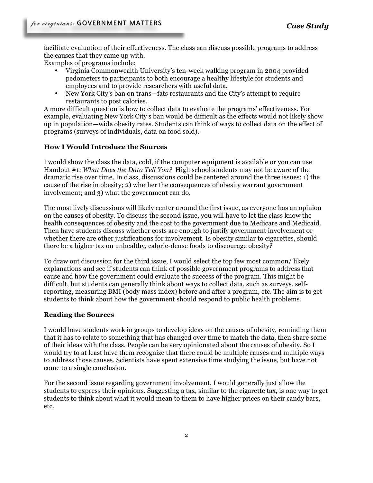facilitate evaluation of their effectiveness. The class can discuss possible programs to address the causes that they came up with.

Examples of programs include:

- Virginia Commonwealth University's ten-week walking program in 2004 provided pedometers to participants to both encourage a healthy lifestyle for students and employees and to provide researchers with useful data.
- New York City's ban on trans—fats restaurants and the City's attempt to require restaurants to post calories.

A more difficult question is how to collect data to evaluate the programs' effectiveness. For example, evaluating New York City's ban would be difficult as the effects would not likely show up in population—wide obesity rates. Students can think of ways to collect data on the effect of programs (surveys of individuals, data on food sold).

## **How I Would Introduce the Sources**

I would show the class the data, cold, if the computer equipment is available or you can use Handout #1: *What Does the Data Tell You?* High school students may not be aware of the dramatic rise over time. In class, discussions could be centered around the three issues: 1) the cause of the rise in obesity; 2) whether the consequences of obesity warrant government involvement; and 3) what the government can do.

The most lively discussions will likely center around the first issue, as everyone has an opinion on the causes of obesity. To discuss the second issue, you will have to let the class know the health consequences of obesity and the cost to the government due to Medicare and Medicaid. Then have students discuss whether costs are enough to justify government involvement or whether there are other justifications for involvement. Is obesity similar to cigarettes, should there be a higher tax on unhealthy, calorie-dense foods to discourage obesity?

To draw out discussion for the third issue, I would select the top few most common/ likely explanations and see if students can think of possible government programs to address that cause and how the government could evaluate the success of the program. This might be difficult, but students can generally think about ways to collect data, such as surveys, selfreporting, measuring BMI (body mass index) before and after a program, etc. The aim is to get students to think about how the government should respond to public health problems.

## **Reading the Sources**

I would have students work in groups to develop ideas on the causes of obesity, reminding them that it has to relate to something that has changed over time to match the data, then share some of their ideas with the class. People can be very opinionated about the causes of obesity. So I would try to at least have them recognize that there could be multiple causes and multiple ways to address those causes. Scientists have spent extensive time studying the issue, but have not come to a single conclusion.

For the second issue regarding government involvement, I would generally just allow the students to express their opinions. Suggesting a tax, similar to the cigarette tax, is one way to get students to think about what it would mean to them to have higher prices on their candy bars, etc.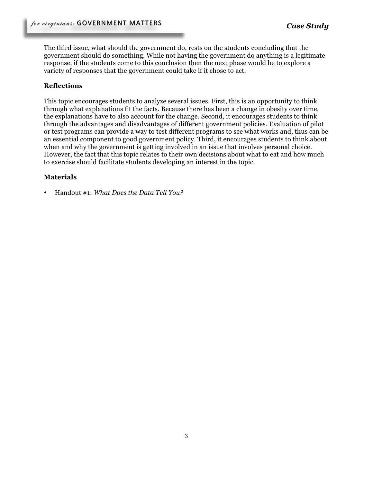The third issue, what should the government do, rests on the students concluding that the government should do something. While not having the government do anything is a legitimate response, if the students come to this conclusion then the next phase would be to explore a variety of responses that the government could take if it chose to act.

## **Reflections**

This topic encourages students to analyze several issues. First, this is an opportunity to think through what explanations fit the facts. Because there has been a change in obesity over time, the explanations have to also account for the change. Second, it encourages students to think through the advantages and disadvantages of different government policies. Evaluation of pilot or test programs can provide a way to test different programs to see what works and, thus can be an essential component to good government policy. Third, it encourages students to think about when and why the government is getting involved in an issue that involves personal choice. However, the fact that this topic relates to their own decisions about what to eat and how much to exercise should facilitate students developing an interest in the topic.

## **Materials**

• Handout #1: *What Does the Data Tell You?*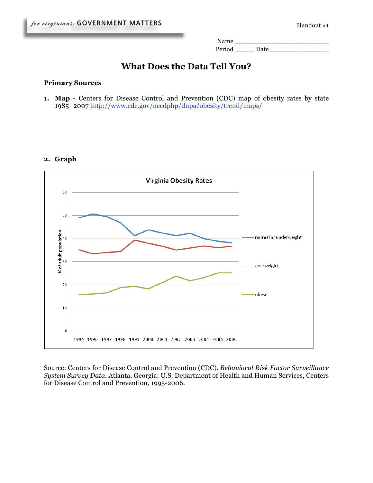Name \_\_\_\_\_\_\_\_\_\_\_\_\_\_\_\_\_\_\_\_\_\_\_\_ Period \_\_\_\_\_ Date \_\_\_\_\_\_\_\_\_\_\_\_\_\_\_

# **What Does the Data Tell You?**

#### **Primary Sources**

**1. Map -** Centers for Disease Control and Prevention (CDC) map of obesity rates by state 1985–2007 http://www.cdc.gov/nccdphp/dnpa/obesity/trend/maps/

### **2. Graph**



Source: Centers for Disease Control and Prevention (CDC). *Behavioral Risk Factor Surveillance System Survey Data*. Atlanta, Georgia: U.S. Department of Health and Human Services, Centers for Disease Control and Prevention, 1995-2006.